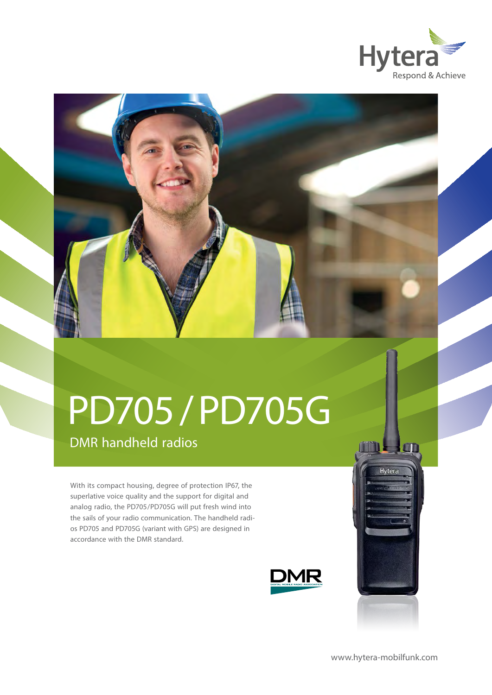



# PD705 / PD705G

### DMR handheld radios

With its compact housing, degree of protection IP67, the superlative voice quality and the support for digital and analog radio, the PD705/PD705G will put fresh wind into the sails of your radio communication. The handheld radios PD705 and PD705G (variant with GPS) are designed in accordance with the DMR standard.



[www.hytera-mobilfunk.com](http://www.hytera-mobilfunk.com)

m

Hvtera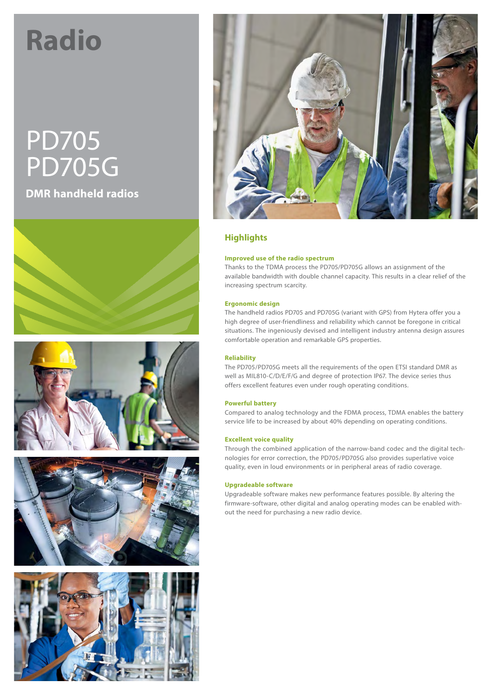## **Radio**

## PD705 PD705G **DMR handheld radios**











#### **Highlights**

#### **Improved use of the radio spectrum**

Thanks to the TDMA process the PD705/PD705G allows an assignment of the available bandwidth with double channel capacity. This results in a clear relief of the increasing spectrum scarcity.

#### **Ergonomic design**

The handheld radios PD705 and PD705G (variant with GPS) from Hytera offer you a high degree of user-friendliness and reliability which cannot be foregone in critical situations. The ingeniously devised and intelligent industry antenna design assures comfortable operation and remarkable GPS properties.

#### **Reliability**

The PD705/PD705G meets all the requirements of the open ETSI standard DMR as well as MIL810-C/D/E/F/G and degree of protection IP67. The device series thus offers excellent features even under rough operating conditions.

#### **Powerful battery**

Compared to analog technology and the FDMA process, TDMA enables the battery service life to be increased by about 40% depending on operating conditions.

#### **Excellent voice quality**

Through the combined application of the narrow-band codec and the digital technologies for error correction, the PD705/PD705G also provides superlative voice quality, even in loud environments or in peripheral areas of radio coverage.

#### **Upgradeable software**

Upgradeable software makes new performance features possible. By altering the firmware-software, other digital and analog operating modes can be enabled without the need for purchasing a new radio device.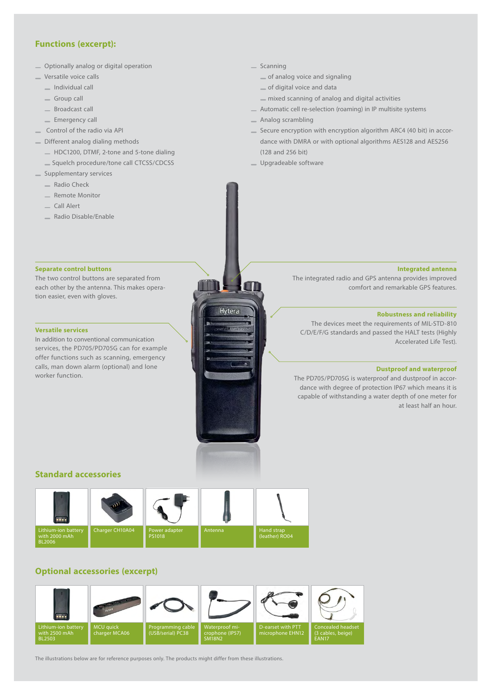#### **Functions (excerpt):**

- Optionally analog or digital operation
- Versatile voice calls
	- Individual call
	- Group call
	- Broadcast call
	- **Emergency call**
- Control of the radio via API
- Different analog dialing methods
	- HDC1200, DTMF, 2-tone and 5-tone dialing
	- Squelch procedure/tone call CTCSS/CDCSS
- <sub>s</sub> Supplementary services
	- Radio Check
	- Remote Monitor
	- Call Alert
	- Radio Disable/Enable

#### **Separate control buttons**

The two control buttons are separated from each other by the antenna. This makes operation easier, even with gloves.

#### **Versatile services**

In addition to conventional communication services, the PD705/PD705G can for example offer functions such as scanning, emergency calls, man down alarm (optional) and lone worker function.

#### $S_{\text{canning}}$

- of analog voice and signaling
- of digital voice and data
- mixed scanning of analog and digital activities
- Automatic cell re-selection (roaming) in IP multisite systems
- Analog scrambling
- Secure encryption with encryption algorithm ARC4 (40 bit) in accordance with DMRA or with optional algorithms AES128 and AES256 (128 and 256 bit)
- Upgradeable software

Hytera

#### **Integrated antenna**

The integrated radio and GPS antenna provides improved comfort and remarkable GPS features.

#### **Robustness and reliability**

The devices meet the requirements of MIL-STD-810 C/D/E/F/G standards and passed the HALT tests (Highly Accelerated Life Test).

#### **Dustproof and waterproof**

The PD705/PD705G is waterproof and dustproof in accordance with degree of protection IP67 which means it is capable of withstanding a water depth of one meter for at least half an hour.

#### **Standard accessories**



#### **Optional accessories (excerpt)**



The illustrations below are for reference purposes only. The products might differ from these illustrations.